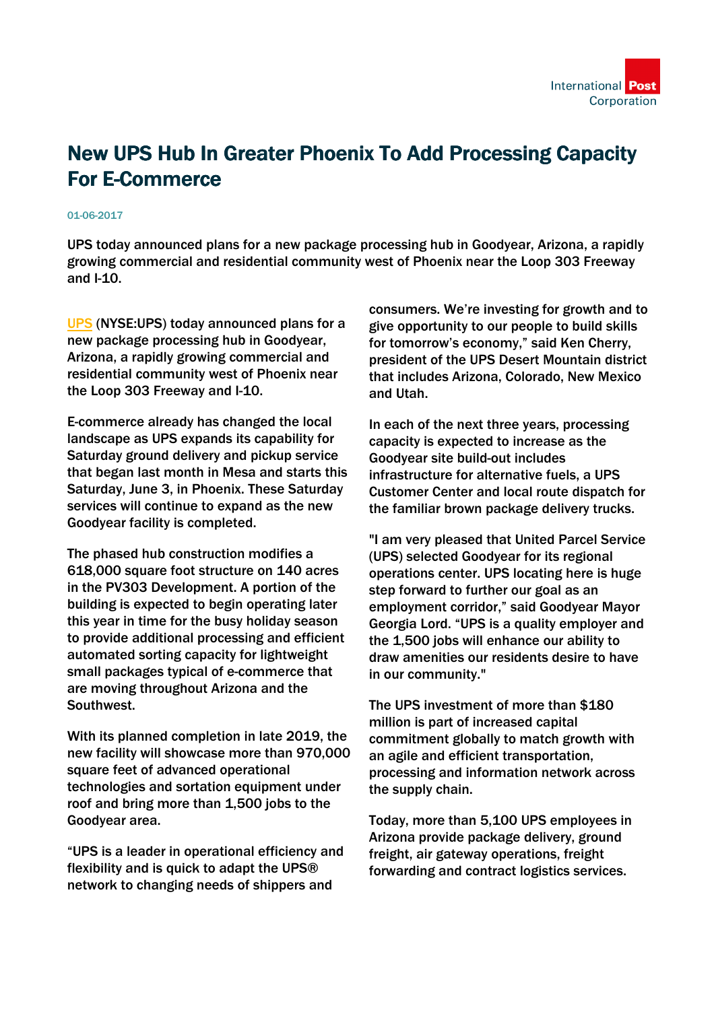

## New UPS Hub In Greater Phoenix To Add Processing Capacity For E-Commerce

## 01-06-2017

UPS today announced plans for a new package processing hub in Goodyear, Arizona, a rapidly growing commercial and residential community west of Phoenix near the Loop 303 Freeway and I-10.

[UPS](https://www.ups.com/content/us/en/shipping/time/service/shipping/index.html) (NYSE:UPS) today announced plans for a new package processing hub in Goodyear, Arizona, a rapidly growing commercial and residential community west of Phoenix near the Loop 303 Freeway and I-10.

E-commerce already has changed the local landscape as UPS expands its capability for Saturday ground delivery and pickup service that began last month in Mesa and starts this Saturday, June 3, in Phoenix. These Saturday services will continue to expand as the new Goodyear facility is completed.

The phased hub construction modifies a 618,000 square foot structure on 140 acres in the PV303 Development. A portion of the building is expected to begin operating later this year in time for the busy holiday season to provide additional processing and efficient automated sorting capacity for lightweight small packages typical of e-commerce that are moving throughout Arizona and the Southwest.

With its planned completion in late 2019, the new facility will showcase more than 970,000 square feet of advanced operational technologies and sortation equipment under roof and bring more than 1,500 jobs to the Goodyear area.

"UPS is a leader in operational efficiency and flexibility and is quick to adapt the UPS® network to changing needs of shippers and

consumers. We're investing for growth and to give opportunity to our people to build skills for tomorrow's economy," said Ken Cherry, president of the UPS Desert Mountain district that includes Arizona, Colorado, New Mexico and Utah.

In each of the next three years, processing capacity is expected to increase as the Goodyear site build-out includes infrastructure for alternative fuels, a UPS Customer Center and local route dispatch for the familiar brown package delivery trucks.

"I am very pleased that United Parcel Service (UPS) selected Goodyear for its regional operations center. UPS locating here is huge step forward to further our goal as an employment corridor," said Goodyear Mayor Georgia Lord. "UPS is a quality employer and the 1,500 jobs will enhance our ability to draw amenities our residents desire to have in our community."

The UPS investment of more than \$180 million is part of increased capital commitment globally to match growth with an agile and efficient transportation, processing and information network across the supply chain.

Today, more than 5,100 UPS employees in Arizona provide package delivery, ground freight, air gateway operations, freight forwarding and contract logistics services.